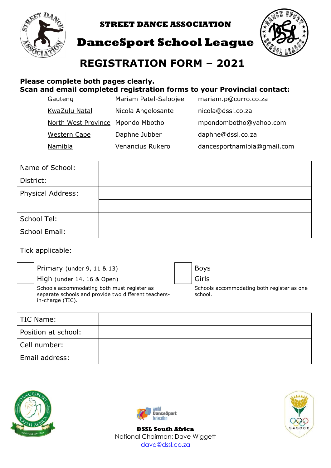

**STREET DANCE ASSOCIATION**



**DanceSport School League**

# **REGISTRATION FORM – 2021**

#### **Please complete both pages clearly. Scan and email completed registration forms to your Provincial contact:**

| Gauteng                           | Mariam Patel-Saloojee | mariam.p@curro.co.za        |
|-----------------------------------|-----------------------|-----------------------------|
| KwaZulu Natal                     | Nicola Angelosante    | nicola@dssl.co.za           |
| North West Province Mpondo Mbotho |                       | mpondombotho@yahoo.com      |
| <b>Western Cape</b>               | Daphne Jubber         | daphne@dssl.co.za           |
| Namibia                           | Venancius Rukero      | dancesportnamibia@gmail.com |

| Name of School:   |  |
|-------------------|--|
| District:         |  |
| Physical Address: |  |
|                   |  |
| School Tel:       |  |
| School Email:     |  |

#### Tick applicable:

Primary (under 9, 11 & 13)  $\vert$  Boys

High (under 14, 16 & Open)  $\left| \right|$  Girls

Schools accommodating both must register as separate schools and provide two different teachersin-charge (TIC).



Schools accommodating both register as one school.

| TIC Name:           |  |
|---------------------|--|
| Position at school: |  |
| Cell number:        |  |
| Email address:      |  |





**DSSL South Africa** National Chairman: Dave Wiggett [dave@dssl.co.za](mailto:dave@dssl.co.za)